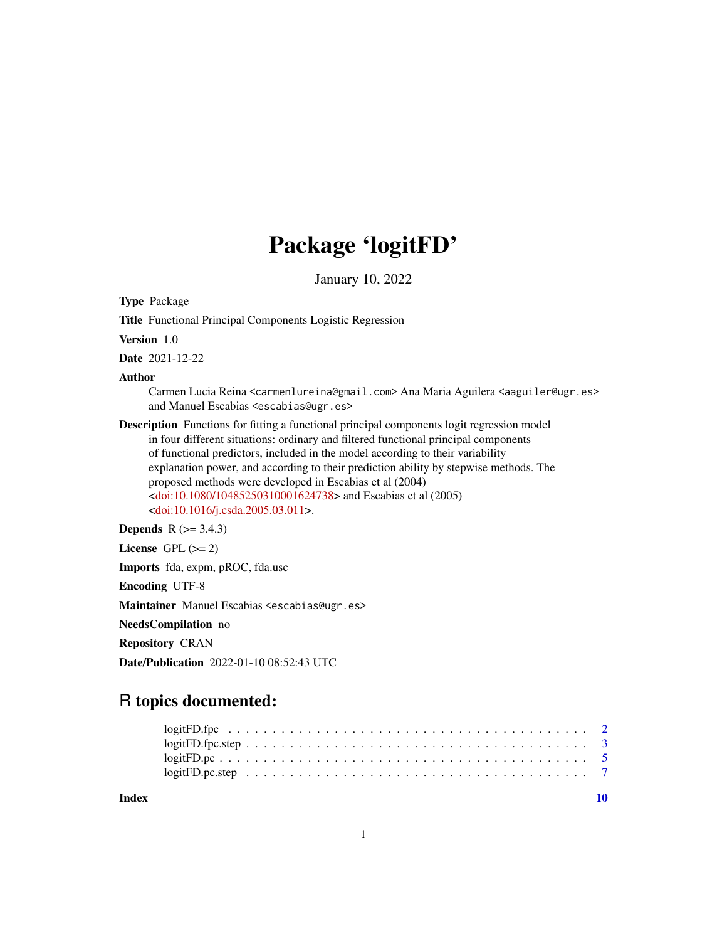## Package 'logitFD'

January 10, 2022

Type Package

Title Functional Principal Components Logistic Regression

Version 1.0

Date 2021-12-22

Author

Carmen Lucia Reina <carmenlureina@gmail.com> Ana Maria Aguilera <aaguiler@ugr.es> and Manuel Escabias <escabias@ugr.es>

Description Functions for fitting a functional principal components logit regression model in four different situations: ordinary and filtered functional principal components of functional predictors, included in the model according to their variability explanation power, and according to their prediction ability by stepwise methods. The proposed methods were developed in Escabias et al (2004) [<doi:10.1080/10485250310001624738>](https://doi.org/10.1080/10485250310001624738) and Escabias et al (2005) [<doi:10.1016/j.csda.2005.03.011>](https://doi.org/10.1016/j.csda.2005.03.011).

**Depends** R  $(>= 3.4.3)$ 

License GPL  $(>= 2)$ 

Imports fda, expm, pROC, fda.usc

Encoding UTF-8

Maintainer Manuel Escabias <escabias@ugr.es>

NeedsCompilation no

Repository CRAN

Date/Publication 2022-01-10 08:52:43 UTC

### R topics documented:

 $\blacksquare$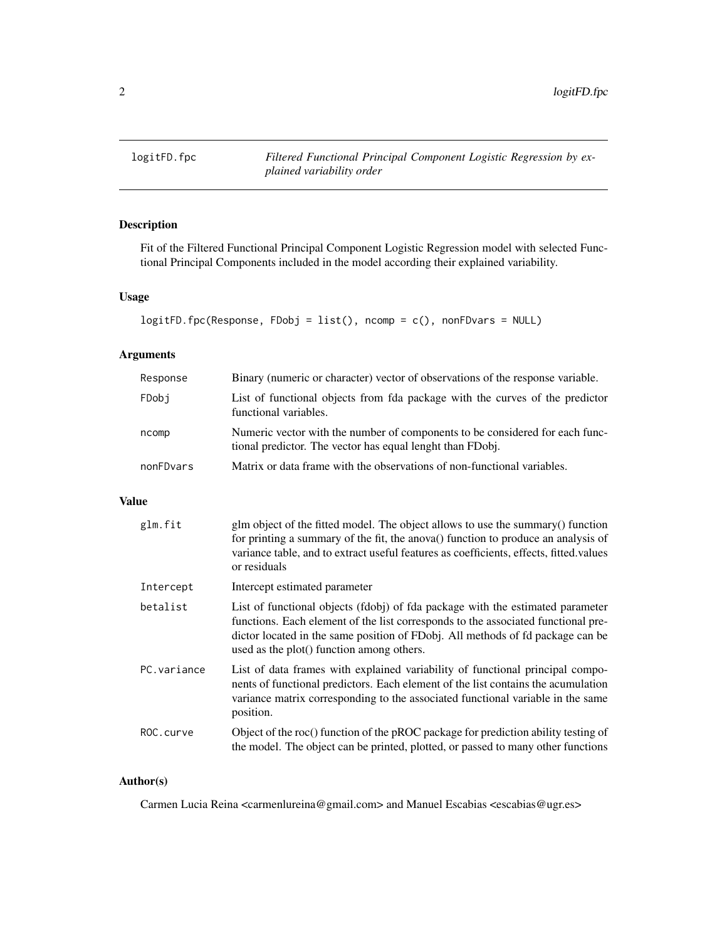<span id="page-1-0"></span>

#### Description

Fit of the Filtered Functional Principal Component Logistic Regression model with selected Functional Principal Components included in the model according their explained variability.

#### Usage

```
logitFD.fpc(Response, FDobj = list(), ncomp = c(), nonFDvars = NULL)
```
#### Arguments

| Response  | Binary (numeric or character) vector of observations of the response variable.                                                            |
|-----------|-------------------------------------------------------------------------------------------------------------------------------------------|
| FDobi     | List of functional objects from fda package with the curves of the predictor<br>functional variables.                                     |
| ncomp     | Numeric vector with the number of components to be considered for each func-<br>tional predictor. The vector has equal lenght than FDobj. |
| nonFDvars | Matrix or data frame with the observations of non-functional variables.                                                                   |

#### Value

| glm.fit     | glm object of the fitted model. The object allows to use the summary() function<br>for printing a summary of the fit, the anova() function to produce an analysis of<br>variance table, and to extract useful features as coefficients, effects, fitted.values<br>or residuals                     |
|-------------|----------------------------------------------------------------------------------------------------------------------------------------------------------------------------------------------------------------------------------------------------------------------------------------------------|
| Intercept   | Intercept estimated parameter                                                                                                                                                                                                                                                                      |
| betalist    | List of functional objects (fdobj) of fda package with the estimated parameter<br>functions. Each element of the list corresponds to the associated functional pre-<br>dictor located in the same position of FDobj. All methods of fd package can be<br>used as the plot() function among others. |
| PC.variance | List of data frames with explained variability of functional principal compo-<br>nents of functional predictors. Each element of the list contains the acumulation<br>variance matrix corresponding to the associated functional variable in the same<br>position.                                 |
| ROC.curve   | Object of the roc() function of the pROC package for prediction ability testing of<br>the model. The object can be printed, plotted, or passed to many other functions                                                                                                                             |

#### Author(s)

Carmen Lucia Reina <carmenlureina@gmail.com> and Manuel Escabias <escabias@ugr.es>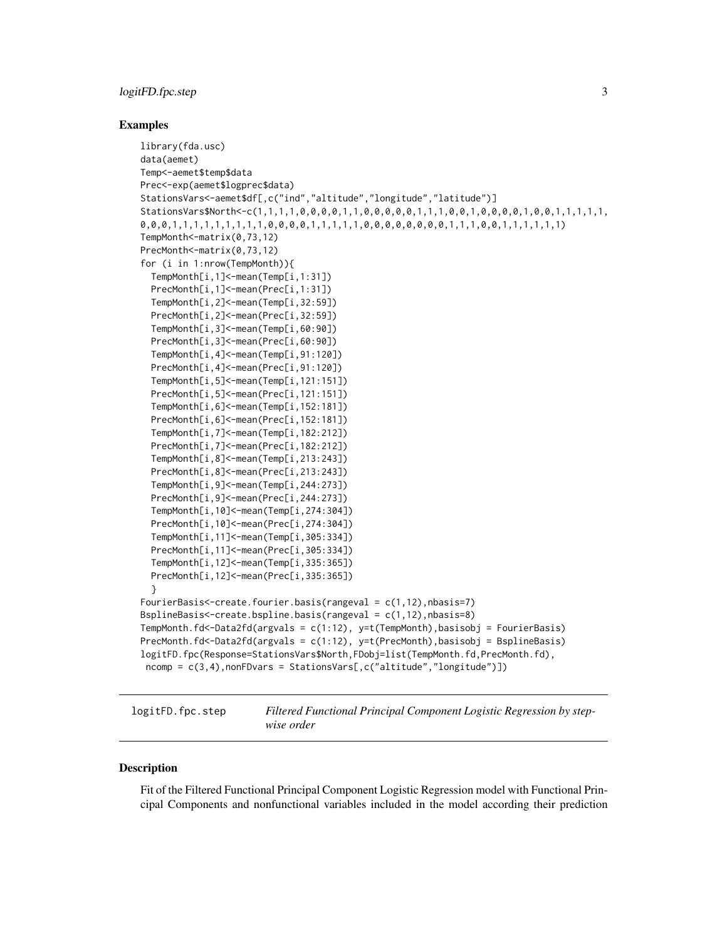#### <span id="page-2-0"></span>logitFD.fpc.step 3

#### Examples

```
library(fda.usc)
data(aemet)
Temp<-aemet$temp$data
Prec<-exp(aemet$logprec$data)
StationsVars<-aemet$df[,c("ind","altitude","longitude","latitude")]
StationsVars$North<-c(1,1,1,1,0,0,0,0,1,1,0,0,0,0,0,1,1,1,0,0,0,0,0,0,0,0,1,0,0,1,1,1,1,1,
0,0,0,1,1,1,1,1,1,1,0,0,0,0,0,1,1,1,0,0,0,0,0,0,0,0,0,1,1,0,0,1,1,1,1,1,1)
TempMonth<-matrix(0,73,12)
PrecMonth<-matrix(0,73,12)
for (i in 1:nrow(TempMonth)){
 TempMonth[i,1]<-mean(Temp[i,1:31])
 PrecMonth[i,1]<-mean(Prec[i,1:31])
 TempMonth[i,2]<-mean(Temp[i,32:59])
 PrecMonth[i,2]<-mean(Prec[i,32:59])
 TempMonth[i,3]<-mean(Temp[i,60:90])
 PrecMonth[i,3]<-mean(Prec[i,60:90])
 TempMonth[i,4]<-mean(Temp[i,91:120])
 PrecMonth[i,4]<-mean(Prec[i,91:120])
 TempMonth[i,5]<-mean(Temp[i,121:151])
 PrecMonth[i,5]<-mean(Prec[i,121:151])
 TempMonth[i,6]<-mean(Temp[i,152:181])
 PrecMonth[i,6]<-mean(Prec[i,152:181])
 TempMonth[i,7]<-mean(Temp[i,182:212])
 PrecMonth[i,7]<-mean(Prec[i,182:212])
 TempMonth[i,8]<-mean(Temp[i,213:243])
 PrecMonth[i,8]<-mean(Prec[i,213:243])
 TempMonth[i,9]<-mean(Temp[i,244:273])
 PrecMonth[i,9]<-mean(Prec[i,244:273])
 TempMonth[i,10]<-mean(Temp[i,274:304])
 PrecMonth[i,10]<-mean(Prec[i,274:304])
 TempMonth[i,11]<-mean(Temp[i,305:334])
 PrecMonth[i,11]<-mean(Prec[i,305:334])
 TempMonth[i,12]<-mean(Temp[i,335:365])
 PrecMonth[i,12]<-mean(Prec[i,335:365])
  }
FourierBasis<-create.fourier.basis(rangeval = c(1,12),nbasis=7)
BsplineBasis<-create.bspline.basis(rangeval = c(1,12),nbasis=8)
TempMonth.fd<-Data2fd(argvals = c(1:12), y=t(TempMonth),basisobj = FourierBasis)
PrecMonth.fd<-Data2fd(argvals = c(1:12), y=t(PrecMonth),basisobj = BsplineBasis)
logitFD.fpc(Response=StationsVars$North,FDobj=list(TempMonth.fd,PrecMonth.fd),
ncomp = c(3,4),nonFDvars = StationsVars[,c("altitude","longitude")])
```
logitFD.fpc.step *Filtered Functional Principal Component Logistic Regression by stepwise order*

#### **Description**

Fit of the Filtered Functional Principal Component Logistic Regression model with Functional Principal Components and nonfunctional variables included in the model according their prediction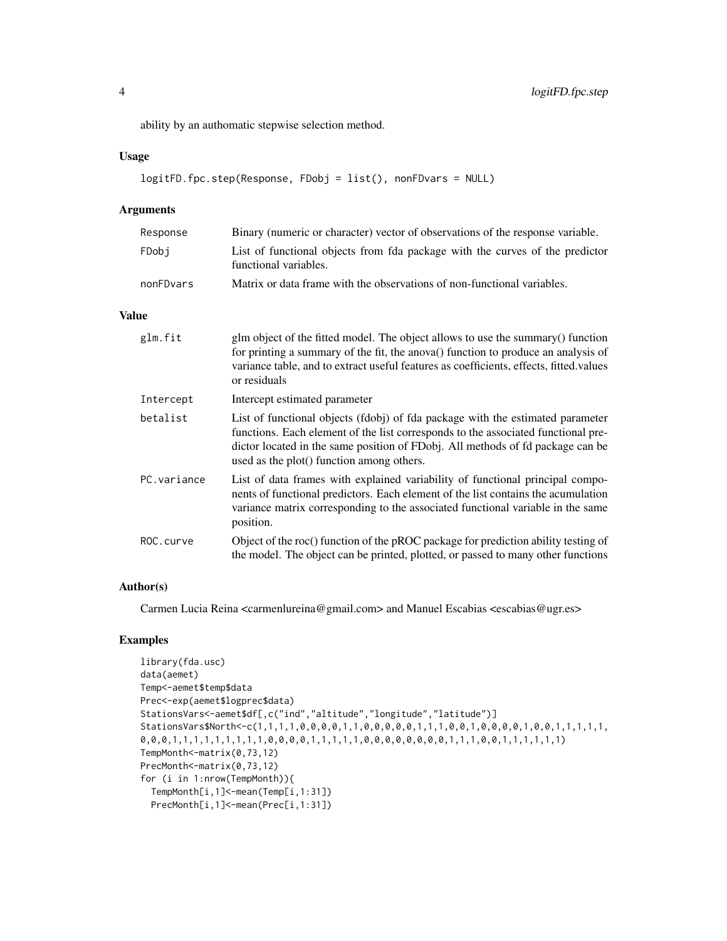ability by an authomatic stepwise selection method.

#### Usage

```
logitFD.fpc.step(Response, FDobj = list(), nonFDvars = NULL)
```
#### Arguments

| Response  | Binary (numeric or character) vector of observations of the response variable.                        |
|-----------|-------------------------------------------------------------------------------------------------------|
| FDobi     | List of functional objects from fda package with the curves of the predictor<br>functional variables. |
| nonFDvars | Matrix or data frame with the observations of non-functional variables.                               |

#### Value

| glm.fit     | glm object of the fitted model. The object allows to use the summary() function<br>for printing a summary of the fit, the anova() function to produce an analysis of<br>variance table, and to extract useful features as coefficients, effects, fitted values<br>or residuals                     |
|-------------|----------------------------------------------------------------------------------------------------------------------------------------------------------------------------------------------------------------------------------------------------------------------------------------------------|
| Intercept   | Intercept estimated parameter                                                                                                                                                                                                                                                                      |
| betalist    | List of functional objects (fdobj) of fda package with the estimated parameter<br>functions. Each element of the list corresponds to the associated functional pre-<br>dictor located in the same position of FDobj. All methods of fd package can be<br>used as the plot() function among others. |
| PC.variance | List of data frames with explained variability of functional principal compo-<br>nents of functional predictors. Each element of the list contains the acumulation<br>variance matrix corresponding to the associated functional variable in the same<br>position.                                 |
| ROC.curve   | Object of the roc() function of the pROC package for prediction ability testing of<br>the model. The object can be printed, plotted, or passed to many other functions                                                                                                                             |

#### Author(s)

Carmen Lucia Reina <carmenlureina@gmail.com> and Manuel Escabias <escabias@ugr.es>

#### Examples

```
library(fda.usc)
data(aemet)
Temp<-aemet$temp$data
Prec<-exp(aemet$logprec$data)
StationsVars<-aemet$df[,c("ind","altitude","longitude","latitude")]
StationsVars$North<-c(1,1,1,1,0,0,0,0,1,1,0,0,0,0,0,1,1,1,0,0,0,0,0,0,0,1,0,0,1,1,1,1,1,1,1,
0,0,0,1,1,1,1,1,1,1,0,0,0,0,1,1,1,0,0,0,0,0,0,0,0,0,1,1,1,0,0,1,1,1,1,1,1)
TempMonth<-matrix(0,73,12)
PrecMonth <- matrix(0,73,12)
for (i in 1:nrow(TempMonth)){
  TempMonth[i,1]<-mean(Temp[i,1:31])
  PrecMonth[i,1]<-mean(Prec[i,1:31])
```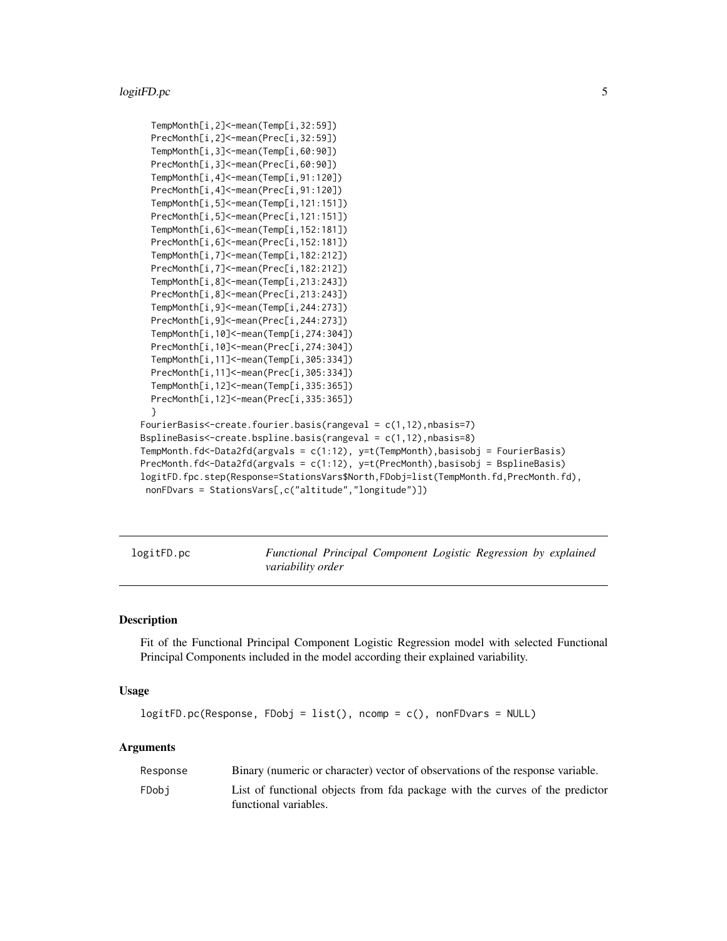#### <span id="page-4-0"></span>logitFD.pc 5

```
TempMonth[i,2]<-mean(Temp[i,32:59])
 PrecMonth[i,2]<-mean(Prec[i,32:59])
 TempMonth[i,3]<-mean(Temp[i,60:90])
 PrecMonth[i,3]<-mean(Prec[i,60:90])
 TempMonth[i,4]<-mean(Temp[i,91:120])
 PrecMonth[i,4]<-mean(Prec[i,91:120])
 TempMonth[i,5]<-mean(Temp[i,121:151])
 PrecMonth[i,5]<-mean(Prec[i,121:151])
 TempMonth[i,6]<-mean(Temp[i,152:181])
 PrecMonth[i,6]<-mean(Prec[i,152:181])
 TempMonth[i,7]<-mean(Temp[i,182:212])
 PrecMonth[i,7]<-mean(Prec[i,182:212])
 TempMonth[i,8]<-mean(Temp[i,213:243])
 PrecMonth[i,8]<-mean(Prec[i,213:243])
 TempMonth[i,9]<-mean(Temp[i,244:273])
 PrecMonth[i,9]<-mean(Prec[i,244:273])
 TempMonth[i,10]<-mean(Temp[i,274:304])
 PrecMonth[i,10]<-mean(Prec[i,274:304])
 TempMonth[i,11]<-mean(Temp[i,305:334])
 PrecMonth[i,11]<-mean(Prec[i,305:334])
 TempMonth[i,12]<-mean(Temp[i,335:365])
 PrecMonth[i,12]<-mean(Prec[i,335:365])
 }
FourierBasis<-create.fourier.basis(rangeval = c(1,12),nbasis=7)
BsplineBasis<-create.bspline.basis(rangeval = c(1,12),nbasis=8)
TempMonth.fd<-Data2fd(argvals = c(1:12), y=t(TempMonth),basisobj = FourierBasis)
PrecMonth.fd<-Data2fd(argvals = c(1:12), y=t(PrecMonth),basisobj = BsplineBasis)
logitFD.fpc.step(Response=StationsVars$North,FDobj=list(TempMonth.fd,PrecMonth.fd),
nonFDvars = StationsVars[,c("altitude","longitude")])
```
logitFD.pc *Functional Principal Component Logistic Regression by explained variability order*

#### Description

Fit of the Functional Principal Component Logistic Regression model with selected Functional Principal Components included in the model according their explained variability.

#### Usage

```
logitFD.pc(Response, FDobj = list(), ncomp = c(), nonFDvars = NULL)
```
#### Arguments

| Response | Binary (numeric or character) vector of observations of the response variable.                        |
|----------|-------------------------------------------------------------------------------------------------------|
| FDobi    | List of functional objects from fda package with the curves of the predictor<br>functional variables. |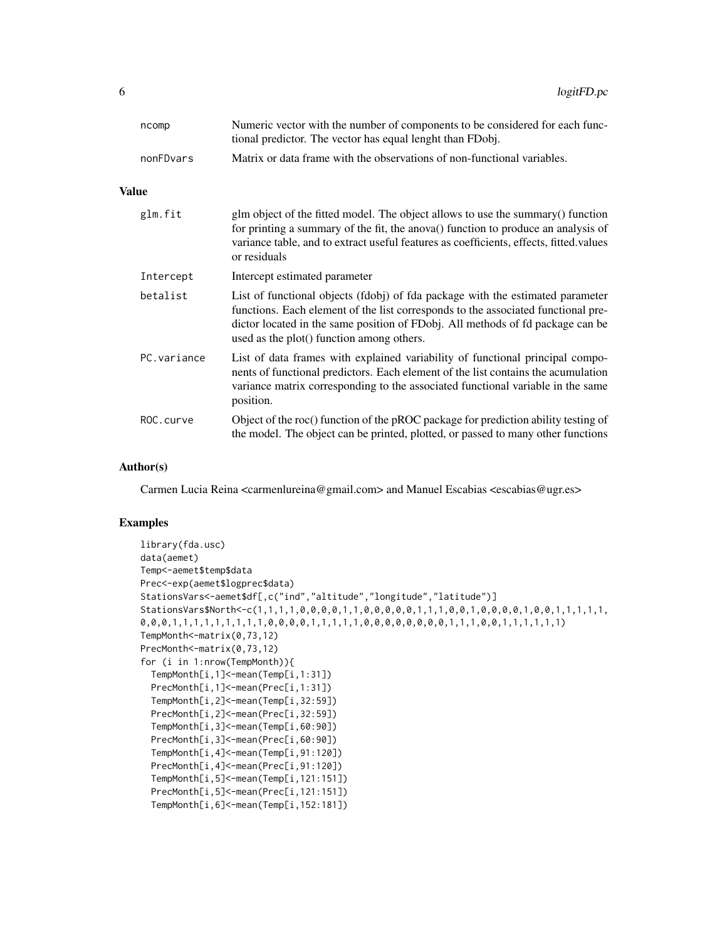| ncomp     | Numeric vector with the number of components to be considered for each func- |
|-----------|------------------------------------------------------------------------------|
|           | tional predictor. The vector has equal lenght than FDobj.                    |
| nonFDvars | Matrix or data frame with the observations of non-functional variables.      |

#### Value

| glm.fit     | glm object of the fitted model. The object allows to use the summary() function<br>for printing a summary of the fit, the anova() function to produce an analysis of<br>variance table, and to extract useful features as coefficients, effects, fitted values<br>or residuals                     |
|-------------|----------------------------------------------------------------------------------------------------------------------------------------------------------------------------------------------------------------------------------------------------------------------------------------------------|
| Intercept   | Intercept estimated parameter                                                                                                                                                                                                                                                                      |
| betalist    | List of functional objects (fdobj) of fda package with the estimated parameter<br>functions. Each element of the list corresponds to the associated functional pre-<br>dictor located in the same position of FDobj. All methods of fd package can be<br>used as the plot() function among others. |
| PC.variance | List of data frames with explained variability of functional principal compo-<br>nents of functional predictors. Each element of the list contains the acumulation<br>variance matrix corresponding to the associated functional variable in the same<br>position.                                 |
| ROC.curve   | Object of the roc() function of the pROC package for prediction ability testing of<br>the model. The object can be printed, plotted, or passed to many other functions                                                                                                                             |

#### Author(s)

Carmen Lucia Reina <carmenlureina@gmail.com> and Manuel Escabias <escabias@ugr.es>

#### Examples

```
library(fda.usc)
data(aemet)
Temp<-aemet$temp$data
Prec<-exp(aemet$logprec$data)
StationsVars<-aemet$df[,c("ind","altitude","longitude","latitude")]
StationsVars$North<-c(1,1,1,1,0,0,0,0,1,1,0,0,0,0,0,1,1,1,0,0,0,0,0,0,0,0,0,0,0,1,1,1,1,1,1,
0,0,0,1,1,1,1,1,1,1,0,0,0,0,1,1,1,0,0,0,0,0,0,0,0,0,1,1,1,0,0,1,1,1,1,1,1)
TempMonth<-matrix(0,73,12)
PrecMonth <- matrix(0,73,12)
for (i in 1:nrow(TempMonth)){
 TempMonth[i,1]<-mean(Temp[i,1:31])
 PrecMonth[i,1]<-mean(Prec[i,1:31])
 TempMonth[i,2]<-mean(Temp[i,32:59])
 PrecMonth[i,2]<-mean(Prec[i,32:59])
 TempMonth[i,3]<-mean(Temp[i,60:90])
 PrecMonth[i,3]<-mean(Prec[i,60:90])
 TempMonth[i,4]<-mean(Temp[i,91:120])
 PrecMonth[i,4]<-mean(Prec[i,91:120])
 TempMonth[i,5]<-mean(Temp[i,121:151])
 PrecMonth[i,5]<-mean(Prec[i,121:151])
 TempMonth[i,6]<-mean(Temp[i,152:181])
```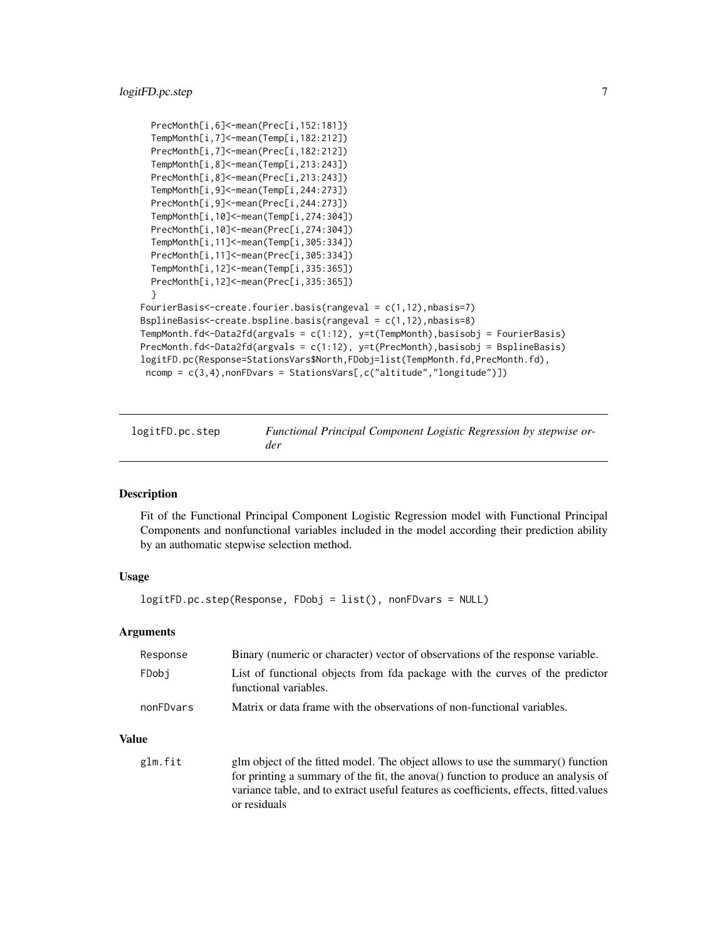#### <span id="page-6-0"></span>logitFD.pc.step 7

```
PrecMonth[i,6]<-mean(Prec[i,152:181])
 TempMonth[i,7]<-mean(Temp[i,182:212])
 PrecMonth[i,7]<-mean(Prec[i,182:212])
 TempMonth[i,8]<-mean(Temp[i,213:243])
 PrecMonth[i,8]<-mean(Prec[i,213:243])
 TempMonth[i,9]<-mean(Temp[i,244:273])
 PrecMonth[i,9]<-mean(Prec[i,244:273])
 TempMonth[i,10]<-mean(Temp[i,274:304])
 PrecMonth[i,10]<-mean(Prec[i,274:304])
 TempMonth[i,11]<-mean(Temp[i,305:334])
 PrecMonth[i,11]<-mean(Prec[i,305:334])
 TempMonth[i,12]<-mean(Temp[i,335:365])
 PrecMonth[i,12]<-mean(Prec[i,335:365])
 }
FourierBasis<-create.fourier.basis(rangeval = c(1,12),nbasis=7)
BsplineBasis<-create.bspline.basis(rangeval = c(1,12),nbasis=8)
TempMonth.fd<-Data2fd(argvals = c(1:12), y=t(TempMonth),basisobj = FourierBasis)
PrecMonth.fd<-Data2fd(argvals = c(1:12), y=t(PrecMonth),basisobj = BsplineBasis)
logitFD.pc(Response=StationsVars$North,FDobj=list(TempMonth.fd,PrecMonth.fd),
 ncomp = c(3,4),nonFDvars = StationsVars[,c("altitude","longitude")])
```

| logitFD.pc.step | Functional Principal Component Logistic Regression by stepwise or- |
|-----------------|--------------------------------------------------------------------|
|                 | der                                                                |

#### Description

Fit of the Functional Principal Component Logistic Regression model with Functional Principal Components and nonfunctional variables included in the model according their prediction ability by an authomatic stepwise selection method.

#### Usage

```
logitFD.pc.step(Response, FDobj = list(), nonFDvars = NULL)
```
#### **Arguments**

| Response  | Binary (numeric or character) vector of observations of the response variable.                        |
|-----------|-------------------------------------------------------------------------------------------------------|
| FDobi     | List of functional objects from fda package with the curves of the predictor<br>functional variables. |
| nonFDvars | Matrix or data frame with the observations of non-functional variables.                               |

#### Value

glm.fit glm object of the fitted model. The object allows to use the summary() function for printing a summary of the fit, the anova() function to produce an analysis of variance table, and to extract useful features as coefficients, effects, fitted.values or residuals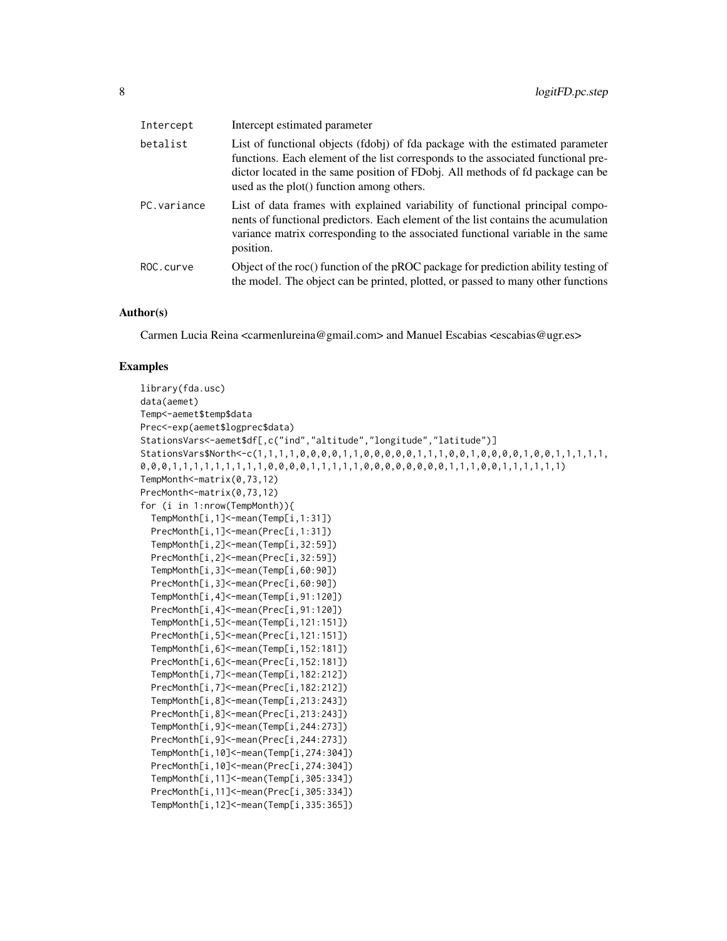| Intercept   | Intercept estimated parameter                                                                                                                                                                                                                                                                      |
|-------------|----------------------------------------------------------------------------------------------------------------------------------------------------------------------------------------------------------------------------------------------------------------------------------------------------|
| betalist    | List of functional objects (fdobj) of fda package with the estimated parameter<br>functions. Each element of the list corresponds to the associated functional pre-<br>dictor located in the same position of FDobj. All methods of fd package can be<br>used as the plot() function among others. |
| PC.variance | List of data frames with explained variability of functional principal compo-<br>nents of functional predictors. Each element of the list contains the acumulation<br>variance matrix corresponding to the associated functional variable in the same<br>position.                                 |
| ROC.curve   | Object of the roc() function of the pROC package for prediction ability testing of<br>the model. The object can be printed, plotted, or passed to many other functions                                                                                                                             |

#### Author(s)

Carmen Lucia Reina <carmenlureina@gmail.com> and Manuel Escabias <escabias@ugr.es>

#### Examples

```
library(fda.usc)
data(aemet)
Temp<-aemet$temp$data
Prec<-exp(aemet$logprec$data)
StationsVars<-aemet$df[,c("ind","altitude","longitude","latitude")]
StationsVars$North<-c(1,1,1,1,0,0,0,0,1,1,0,0,0,0,0,1,1,1,0,0,0,0,0,0,0,1,0,0,1,1,1,1,1,1,
0,0,0,1,1,1,1,1,1,1,1,1,0,0,0,0,1,1,1,1,1,0,0,0,0,0,0,0,0,1,1,1,0,0,1,1,1,1,1,1)
TempMonth<-matrix(0,73,12)
PrecMonth <- matrix(0,73,12)
for (i in 1:nrow(TempMonth)){
 TempMonth[i,1]<-mean(Temp[i,1:31])
 PrecMonth[i,1]<-mean(Prec[i,1:31])
 TempMonth[i,2]<-mean(Temp[i,32:59])
 PrecMonth[i,2]<-mean(Prec[i,32:59])
 TempMonth[i,3]<-mean(Temp[i,60:90])
 PrecMonth[i,3]<-mean(Prec[i,60:90])
 TempMonth[i,4]<-mean(Temp[i,91:120])
 PrecMonth[i,4]<-mean(Prec[i,91:120])
 TempMonth[i,5]<-mean(Temp[i,121:151])
 PrecMonth[i,5]<-mean(Prec[i,121:151])
 TempMonth[i,6]<-mean(Temp[i,152:181])
 PrecMonth[i,6]<-mean(Prec[i,152:181])
 TempMonth[i,7]<-mean(Temp[i,182:212])
 PrecMonth[i,7]<-mean(Prec[i,182:212])
 TempMonth[i,8]<-mean(Temp[i,213:243])
 PrecMonth[i,8]<-mean(Prec[i,213:243])
 TempMonth[i,9]<-mean(Temp[i,244:273])
 PrecMonth[i,9]<-mean(Prec[i,244:273])
 TempMonth[i,10]<-mean(Temp[i,274:304])
 PrecMonth[i,10]<-mean(Prec[i,274:304])
 TempMonth[i,11]<-mean(Temp[i,305:334])
 PrecMonth[i,11]<-mean(Prec[i,305:334])
 TempMonth[i,12]<-mean(Temp[i,335:365])
```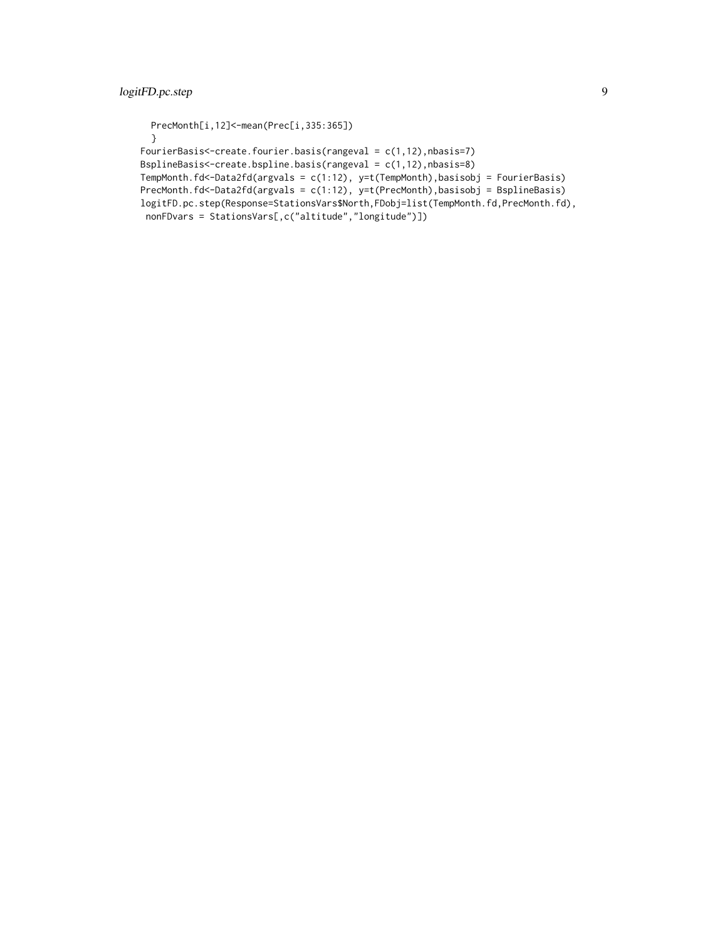```
PrecMonth[i,12]<-mean(Prec[i,335:365])
  }
FourierBasis<-create.fourier.basis(rangeval = c(1,12),nbasis=7)
BsplineBasis<-create.bspline.basis(rangeval = c(1,12),nbasis=8)
TempMonth.fd<-Data2fd(argvals = c(1:12), y=t(TempMonth),basisobj = FourierBasis)
PrecMonth.fd<-Data2fd(argvals = c(1:12), y=t(PrecMonth),basisobj = BsplineBasis)
logitFD.pc.step(Response=StationsVars$North,FDobj=list(TempMonth.fd,PrecMonth.fd),
nonFDvars = StationsVars[,c("altitude","longitude")])
```